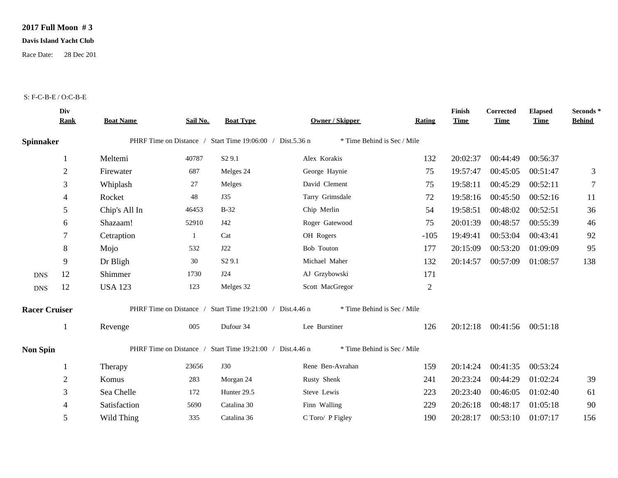## **2017 Full Moon # 3**

## **Davis Island Yacht Club**

Race Date: 28 Dec 201

## S: F-C-B-E / O:C-B-E

|                      | Div<br><b>Rank</b> | <b>Boat Name</b> | Sail No. | <b>Boat Type</b>                                          | <b>Owner / Skipper</b>      | Rating | Finish<br><b>Time</b> | Corrected<br><b>Time</b> | <b>Elapsed</b><br><b>Time</b> | Seconds *<br><b>Behind</b> |
|----------------------|--------------------|------------------|----------|-----------------------------------------------------------|-----------------------------|--------|-----------------------|--------------------------|-------------------------------|----------------------------|
| <b>Spinnaker</b>     |                    |                  |          | PHRF Time on Distance / Start Time 19:06:00 / Dist.5.36 n | * Time Behind is Sec / Mile |        |                       |                          |                               |                            |
|                      |                    | Meltemi          | 40787    | S <sub>2</sub> 9.1                                        | Alex Korakis                | 132    | 20:02:37              | 00:44:49                 | 00:56:37                      |                            |
|                      | $\mathbf{2}$       | Firewater        | 687      | Melges 24                                                 | George Haynie               | 75     | 19:57:47              | 00:45:05                 | 00:51:47                      | 3                          |
|                      | 3                  | Whiplash         | 27       | Melges                                                    | David Clement               | 75     | 19:58:11              | 00:45:29                 | 00:52:11                      | $\tau$                     |
|                      | 4                  | Rocket           | 48       | J35                                                       | Tarry Grimsdale             | 72     | 19:58:16              | 00:45:50                 | 00:52:16                      | 11                         |
|                      | 5                  | Chip's All In    | 46453    | $B-32$                                                    | Chip Merlin                 | 54     | 19:58:51              | 00:48:02                 | 00:52:51                      | 36                         |
|                      | 6                  | Shazaam!         | 52910    | J42                                                       | Roger Gatewood              | 75     | 20:01:39              | 00:48:57                 | 00:55:39                      | 46                         |
|                      | 7                  | Cetraption       | -1       | Cat                                                       | OH Rogers                   | $-105$ | 19:49:41              | 00:53:04                 | 00:43:41                      | 92                         |
|                      | 8                  | Mojo             | 532      | J22                                                       | Bob Touton                  | 177    | 20:15:09              | 00:53:20                 | 01:09:09                      | 95                         |
|                      | 9                  | Dr Bligh         | 30       | S <sub>2</sub> 9.1                                        | Michael Maher               | 132    | 20:14:57              | 00:57:09                 | 01:08:57                      | 138                        |
| <b>DNS</b>           | 12                 | Shimmer          | 1730     | J24                                                       | AJ Grzybowski               | 171    |                       |                          |                               |                            |
| <b>DNS</b>           | 12                 | <b>USA 123</b>   | 123      | Melges 32                                                 | Scott MacGregor             | 2      |                       |                          |                               |                            |
| <b>Racer Cruiser</b> |                    |                  |          | PHRF Time on Distance / Start Time 19:21:00 / Dist.4.46 n | * Time Behind is Sec / Mile |        |                       |                          |                               |                            |
|                      |                    | Revenge          | 005      | Dufour 34                                                 | Lee Burstiner               | 126    | 20:12:18              | 00:41:56 00:51:18        |                               |                            |
| <b>Non Spin</b>      |                    |                  |          | PHRF Time on Distance / Start Time 19:21:00 / Dist.4.46 n | * Time Behind is Sec / Mile |        |                       |                          |                               |                            |
|                      |                    | Therapy          | 23656    | <b>J30</b>                                                | Rene Ben-Avrahan            | 159    | 20:14:24              | 00:41:35                 | 00:53:24                      |                            |
|                      | $\mathbf{2}$       | Komus            | 283      | Morgan 24                                                 | Rusty Shenk                 | 241    | 20:23:24              | 00:44:29                 | 01:02:24                      | 39                         |
|                      | 3                  | Sea Chelle       | 172      | Hunter 29.5                                               | Steve Lewis                 | 223    | 20:23:40              | 00:46:05                 | 01:02:40                      | 61                         |
|                      | 4                  | Satisfaction     | 5690     | Catalina 30                                               | Finn Walling                | 229    | 20:26:18              | 00:48:17                 | 01:05:18                      | 90                         |
|                      | 5                  | Wild Thing       | 335      | Catalina 36                                               | C Toro/ P Figley            | 190    | 20:28:17              | 00:53:10                 | 01:07:17                      | 156                        |